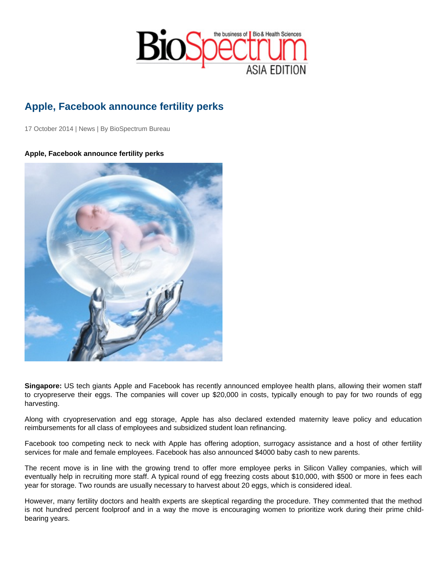## Apple, Facebook announce fertility perks

17 October 2014 | News | By BioSpectrum Bureau

Apple, Facebook announce fertility perks

Singapore: US tech giants Apple and Facebook has recently announced employee health plans, allowing their women staff to cryopreserve their eggs. The companies will cover up \$20,000 in costs, typically enough to pay for two rounds of egg harvesting.

Along with cryopreservation and egg storage, Apple has also declared extended maternity leave policy and education reimbursements for all class of employees and subsidized student loan refinancing.

Facebook too competing neck to neck with Apple has offering adoption, surrogacy assistance and a host of other fertility services for male and female employees. Facebook has also announced \$4000 baby cash to new parents.

The recent move is in line with the growing trend to offer more employee perks in Silicon Valley companies, which will eventually help in recruiting more staff. A typical round of egg freezing costs about \$10,000, with \$500 or more in fees each year for storage. Two rounds are usually necessary to harvest about 20 eggs, which is considered ideal.

However, many fertility doctors and health experts are skeptical regarding the procedure. They commented that the method is not hundred percent foolproof and in a way the move is encouraging women to prioritize work during their prime childbearing years.